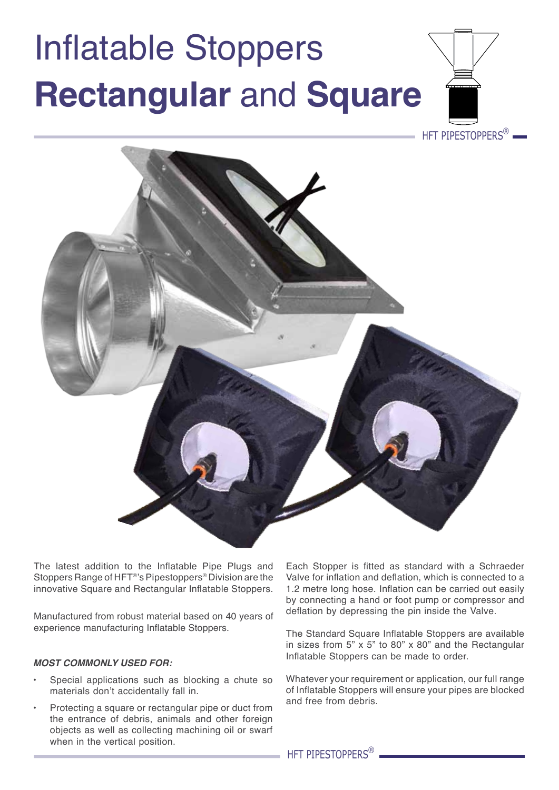## Inflatable Stoppers **Rectangular** and **Square**



The latest addition to the Inflatable Pipe Plugs and Stoppers Range of HFT®'s Pipestoppers® Division are the innovative Square and Rectangular Inflatable Stoppers.

Manufactured from robust material based on 40 years of experience manufacturing Inflatable Stoppers.

## *Most commonly used for:*

- Special applications such as blocking a chute so materials don't accidentally fall in.
- Protecting a square or rectangular pipe or duct from the entrance of debris, animals and other foreign objects as well as collecting machining oil or swarf when in the vertical position.

Each Stopper is fitted as standard with a Schraeder Valve for inflation and deflation, which is connected to a 1.2 metre long hose. Inflation can be carried out easily by connecting a hand or foot pump or compressor and deflation by depressing the pin inside the Valve.

The Standard Square Inflatable Stoppers are available in sizes from  $5$ " x  $5$ " to  $80$ " x  $80$ " and the Rectangular Inflatable Stoppers can be made to order.

Whatever your requirement or application, our full range of Inflatable Stoppers will ensure your pipes are blocked and free from debris.

HFT PIPESTOPPERS<sup>®</sup>